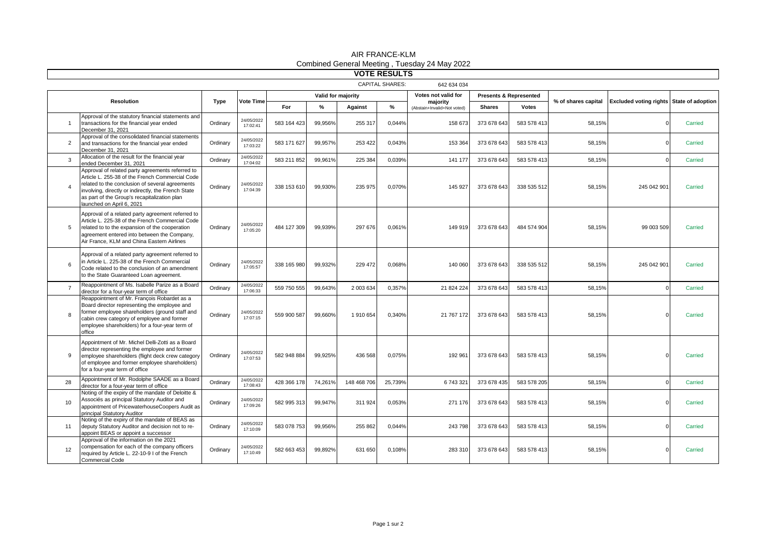| <b>VOTE RESULTS</b>                   |                                                                                                                                                                                                                                                                                            |          |                        |                    |               |             |         |                                         |                                   |              |                     |                                          |         |
|---------------------------------------|--------------------------------------------------------------------------------------------------------------------------------------------------------------------------------------------------------------------------------------------------------------------------------------------|----------|------------------------|--------------------|---------------|-------------|---------|-----------------------------------------|-----------------------------------|--------------|---------------------|------------------------------------------|---------|
| <b>CAPITAL SHARES:</b><br>642 634 034 |                                                                                                                                                                                                                                                                                            |          |                        |                    |               |             |         |                                         |                                   |              |                     |                                          |         |
| <b>Resolution</b>                     |                                                                                                                                                                                                                                                                                            | Type     | Vote Time              | Valid for majority |               |             |         | Votes not valid for                     | <b>Presents &amp; Represented</b> |              |                     |                                          |         |
|                                       |                                                                                                                                                                                                                                                                                            |          |                        | For                | $\frac{9}{6}$ | Against     | $\%$    | majority<br>(Abstain+Invalid+Not voted) | <b>Shares</b>                     | <b>Votes</b> | % of shares capital | Excluded voting rights State of adoption |         |
| $\overline{1}$                        | Approval of the statutory financial statements and<br>transactions for the financial year ended<br>December 31, 2021                                                                                                                                                                       | Ordinary | 24/05/2022<br>17:02:41 | 583 164 423        | 99,956%       | 255 317     | 0,044%  | 158 673                                 | 373 678 643                       | 583 578 413  | 58,15%              |                                          | Carried |
| $\overline{2}$                        | Approval of the consolidated financial statements<br>and transactions for the financial year ended<br>December 31, 2021                                                                                                                                                                    | Ordinary | 24/05/2022<br>17:03:22 | 583 171 627        | 99.957%       | 253 422     | 0.043%  | 153 364                                 | 373 678 643                       | 583 578 413  | 58.15%              |                                          | Carried |
| $\overline{3}$                        | Allocation of the result for the financial year<br>ended December 31, 2021                                                                                                                                                                                                                 | Ordinary | 24/05/2022<br>17:04:02 | 583 211 852        | 99,961%       | 225 384     | 0,039%  | 141 177                                 | 373 678 643                       | 583 578 413  | 58,15%              |                                          | Carried |
| $\overline{A}$                        | Approval of related party agreements referred to<br>Article L. 255-38 of the French Commercial Code<br>related to the conclusion of several agreements<br>involving, directly or indirectly, the French State<br>as part of the Group's recapitalization plan<br>launched on April 6, 2021 | Ordinary | 24/05/2022<br>17:04:39 | 338 153 610        | 99,930%       | 235 975     | 0,070%  | 145 927                                 | 373 678 643                       | 338 535 512  | 58,15%              | 245 042 901                              | Carried |
| 5                                     | Approval of a related party agreement referred to<br>Article L. 225-38 of the French Commercial Code<br>related to to the expansion of the cooperation<br>agreement entered into between the Company,<br>Air France, KLM and China Eastern Airlines                                        | Ordinary | 24/05/2022<br>17:05:20 | 484 127 309        | 99,939%       | 297 676     | 0,061%  | 149 919                                 | 373 678 643                       | 484 574 904  | 58,15%              | 99 003 509                               | Carried |
| 6                                     | Approval of a related party agreement referred to<br>in Article L. 225-38 of the French Commercial<br>Code related to the conclusion of an amendment<br>to the State Guaranteed Loan agreement.                                                                                            | Ordinary | 24/05/2022<br>17:05:57 | 338 165 980        | 99,932%       | 229 472     | 0,068%  | 140 060                                 | 373 678 643                       | 338 535 512  | 58,15%              | 245 042 901                              | Carried |
| $\overline{7}$                        | Reappointment of Ms. Isabelle Parize as a Board<br>director for a four-year term of office                                                                                                                                                                                                 | Ordinary | 24/05/2022<br>17:06:33 | 559 750 555        | 99,643%       | 2 003 634   | 0,357%  | 21 824 224                              | 373 678 643                       | 583 578 413  | 58,15%              |                                          | Carried |
| 8                                     | Reappointment of Mr. François Robardet as a<br>Board director representing the employee and<br>former employee shareholders (ground staff and<br>cabin crew category of employee and former<br>employee shareholders) for a four-year term of<br>office                                    | Ordinarv | 24/05/2022<br>17:07:15 | 559 900 587        | 99,660%       | 1910654     | 0,340%  | 21 767 172                              | 373 678 643                       | 583 578 413  | 58,15%              |                                          | Carried |
| 9                                     | Appointment of Mr. Michel Delli-Zotti as a Board<br>director representing the employee and former<br>employee shareholders (flight deck crew category<br>of employee and former employee shareholders)<br>for a four-year term of office                                                   | Ordinary | 24/05/2022<br>17:07:53 | 582 948 884        | 99,925%       | 436 568     | 0,075%  | 192 961                                 | 373 678 643                       | 583 578 413  | 58,15%              |                                          | Carried |
| 28                                    | Appointment of Mr. Rodolphe SAADE as a Board<br>director for a four-year term of office                                                                                                                                                                                                    | Ordinarv | 24/05/2022<br>17:08:43 | 428 366 178        | 74.261%       | 148 468 706 | 25.739% | 6743321                                 | 373 678 435                       | 583 578 205  | 58.15%              |                                          | Carried |
| 10                                    | Noting of the expiry of the mandate of Deloitte &<br>Associés as principal Statutory Auditor and<br>appointment of PricewaterhouseCoopers Audit as<br>principal Statutory Auditor                                                                                                          | Ordinary | 24/05/2022<br>17:09:26 | 582 995 313        | 99,947%       | 311 924     | 0,053%  | 271 176                                 | 373 678 643                       | 583 578 413  | 58,15%              |                                          | Carried |
| 11                                    | Noting of the expiry of the mandate of BEAS as<br>deputy Statutory Auditor and decision not to re-<br>appoint BEAS or appoint a successor                                                                                                                                                  | Ordinarv | 24/05/2022<br>17:10:09 | 583 078 753        | 99,956%       | 255 862     | 0.044%  | 243 798                                 | 373 678 643                       | 583 578 413  | 58,15%              |                                          | Carried |
| 12                                    | Approval of the information on the 2021<br>compensation for each of the company officers<br>required by Article L. 22-10-9 I of the French<br><b>Commercial Code</b>                                                                                                                       | Ordinary | 24/05/2022<br>17:10:49 | 582 663 453        | 99.892%       | 631 650     | 0.108%  | 283 310                                 | 373 678 643                       | 583 578 413  | 58,15%              |                                          | Carried |

## AIR FRANCE-KLM Combined General Meeting , Tuesday 24 May 2022